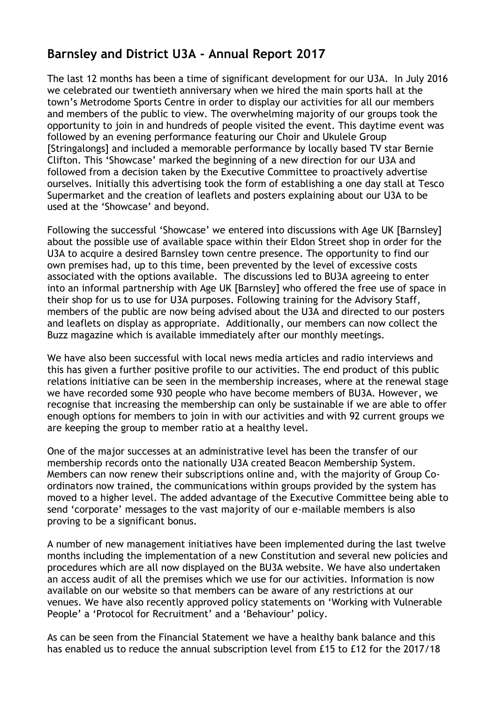## **Barnsley and District U3A - Annual Report 2017**

The last 12 months has been a time of significant development for our U3A. In July 2016 we celebrated our twentieth anniversary when we hired the main sports hall at the town's Metrodome Sports Centre in order to display our activities for all our members and members of the public to view. The overwhelming majority of our groups took the opportunity to join in and hundreds of people visited the event. This daytime event was followed by an evening performance featuring our Choir and Ukulele Group [Stringalongs] and included a memorable performance by locally based TV star Bernie Clifton. This 'Showcase' marked the beginning of a new direction for our U3A and followed from a decision taken by the Executive Committee to proactively advertise ourselves. Initially this advertising took the form of establishing a one day stall at Tesco Supermarket and the creation of leaflets and posters explaining about our U3A to be used at the 'Showcase' and beyond.

Following the successful 'Showcase' we entered into discussions with Age UK [Barnsley] about the possible use of available space within their Eldon Street shop in order for the U3A to acquire a desired Barnsley town centre presence. The opportunity to find our own premises had, up to this time, been prevented by the level of excessive costs associated with the options available. The discussions led to BU3A agreeing to enter into an informal partnership with Age UK [Barnsley] who offered the free use of space in their shop for us to use for U3A purposes. Following training for the Advisory Staff, members of the public are now being advised about the U3A and directed to our posters and leaflets on display as appropriate. Additionally, our members can now collect the Buzz magazine which is available immediately after our monthly meetings.

We have also been successful with local news media articles and radio interviews and this has given a further positive profile to our activities. The end product of this public relations initiative can be seen in the membership increases, where at the renewal stage we have recorded some 930 people who have become members of BU3A. However, we recognise that increasing the membership can only be sustainable if we are able to offer enough options for members to join in with our activities and with 92 current groups we are keeping the group to member ratio at a healthy level.

One of the major successes at an administrative level has been the transfer of our membership records onto the nationally U3A created Beacon Membership System. Members can now renew their subscriptions online and, with the majority of Group Coordinators now trained, the communications within groups provided by the system has moved to a higher level. The added advantage of the Executive Committee being able to send 'corporate' messages to the vast majority of our e-mailable members is also proving to be a significant bonus.

A number of new management initiatives have been implemented during the last twelve months including the implementation of a new Constitution and several new policies and procedures which are all now displayed on the BU3A website. We have also undertaken an access audit of all the premises which we use for our activities. Information is now available on our website so that members can be aware of any restrictions at our venues. We have also recently approved policy statements on 'Working with Vulnerable People' a 'Protocol for Recruitment' and a 'Behaviour' policy.

As can be seen from the Financial Statement we have a healthy bank balance and this has enabled us to reduce the annual subscription level from £15 to £12 for the 2017/18